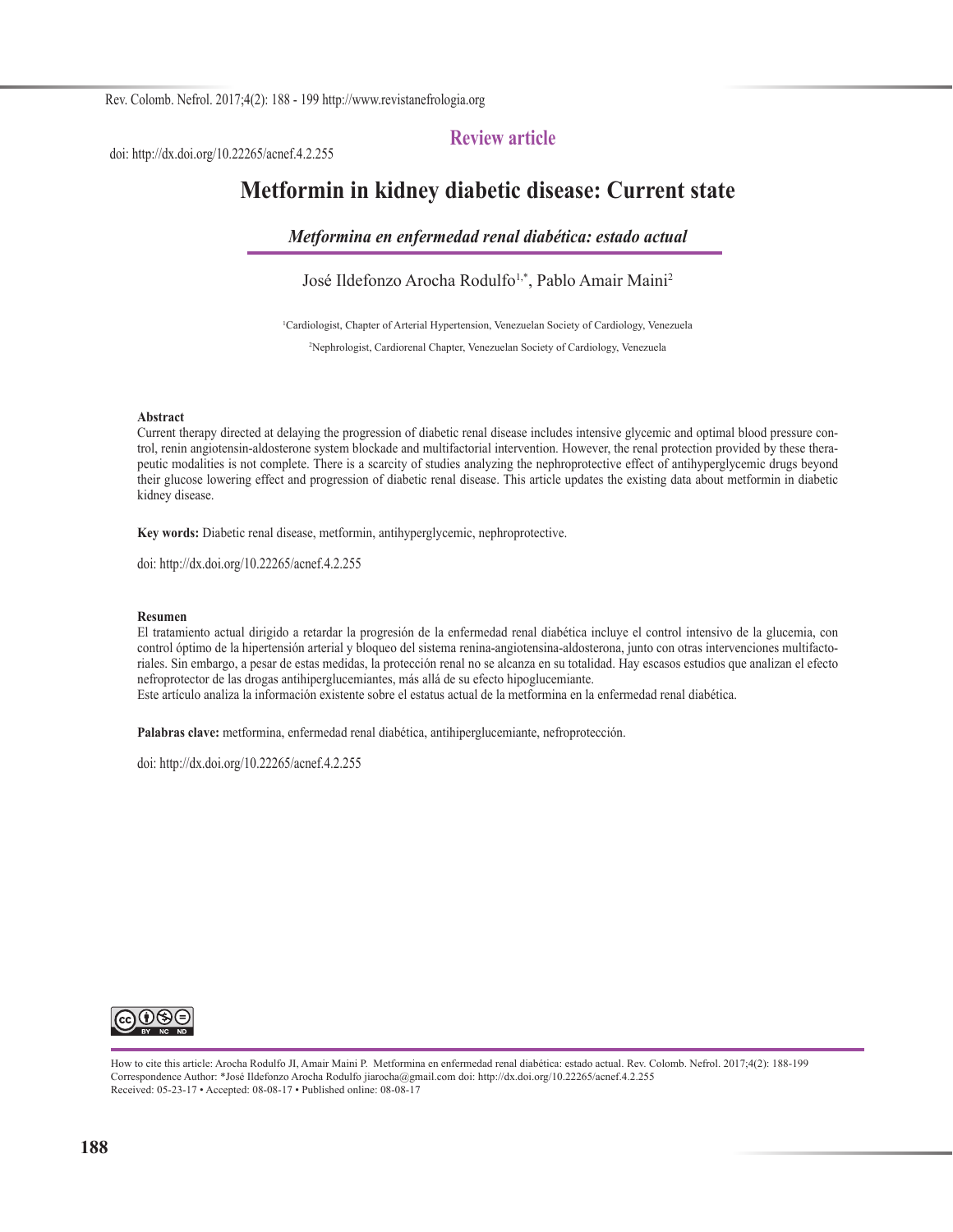### **Review article**

doi: http://dx.doi.org/10.22265/acnef.4.2.255

# **Metformin in kidney diabetic disease: Current state**

*Metformina en enfermedad renal diabética: estado actual*

José Ildefonzo Arocha Rodulfo<sup>1,\*</sup>, Pablo Amair Maini<sup>2</sup>

1 Cardiologist, Chapter of Arterial Hypertension, Venezuelan Society of Cardiology, Venezuela

2 Nephrologist, Cardiorenal Chapter, Venezuelan Society of Cardiology, Venezuela

#### **Abstract**

Current therapy directed at delaying the progression of diabetic renal disease includes intensive glycemic and optimal blood pressure control, renin angiotensin-aldosterone system blockade and multifactorial intervention. However, the renal protection provided by these therapeutic modalities is not complete. There is a scarcity of studies analyzing the nephroprotective effect of antihyperglycemic drugs beyond their glucose lowering effect and progression of diabetic renal disease. This article updates the existing data about metformin in diabetic kidney disease.

**Key words:** Diabetic renal disease, metformin, antihyperglycemic, nephroprotective.

doi: http://dx.doi.org/10.22265/acnef.4.2.255

#### **Resumen**

El tratamiento actual dirigido a retardar la progresión de la enfermedad renal diabética incluye el control intensivo de la glucemia, con control óptimo de la hipertensión arterial y bloqueo del sistema renina-angiotensina-aldosterona, junto con otras intervenciones multifactoriales. Sin embargo, a pesar de estas medidas, la protección renal no se alcanza en su totalidad. Hay escasos estudios que analizan el efecto nefroprotector de las drogas antihiperglucemiantes, más allá de su efecto hipoglucemiante. Este artículo analiza la información existente sobre el estatus actual de la metformina en la enfermedad renal diabética.

**Palabras clave:** metformina, enfermedad renal diabética, antihiperglucemiante, nefroprotección.

doi: http://dx.doi.org/10.22265/acnef.4.2.255



How to cite this article: Arocha Rodulfo JI, Amair Maini P. Metformina en enfermedad renal diabética: estado actual. Rev. Colomb. Nefrol. 2017;4(2): 188-199 Correspondence Author: \*José Ildefonzo Arocha Rodulfo jiarocha@gmail.com doi: http://dx.doi.org/10.22265/acnef.4.2.255 Received: 05-23-17 • Accepted: 08-08-17 • Published online: 08-08-17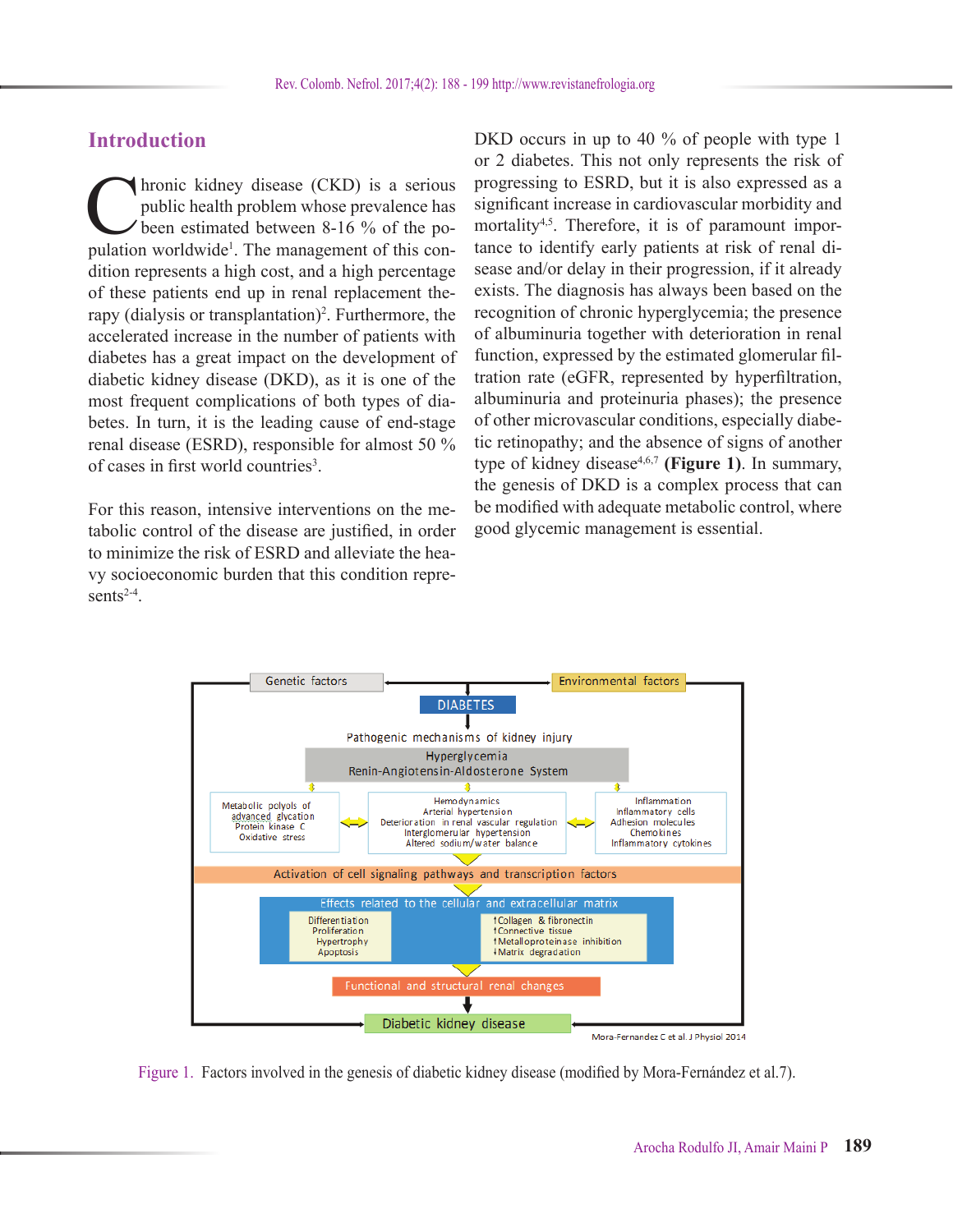# **Introduction**

Intonic kidney disease (CKD) is a serious<br>public health problem whose prevalence has<br>been estimated between 8-16 % of the po-<br>pulation worldwide<sup>1</sup> The management of this conpublic health problem whose prevalence has been estimated between 8-16 % of the population worldwide<sup>1</sup>. The management of this condition represents a high cost, and a high percentage of these patients end up in renal replacement therapy (dialysis or transplantation)<sup>2</sup>. Furthermore, the accelerated increase in the number of patients with diabetes has a great impact on the development of diabetic kidney disease (DKD), as it is one of the most frequent complications of both types of diabetes. In turn, it is the leading cause of end-stage renal disease (ESRD), responsible for almost 50 % of cases in first world countries<sup>3</sup>.

For this reason, intensive interventions on the metabolic control of the disease are justified, in order to minimize the risk of ESRD and alleviate the heavy socioeconomic burden that this condition represents $2-4$ .

DKD occurs in up to 40 % of people with type 1 or 2 diabetes. This not only represents the risk of progressing to ESRD, but it is also expressed as a significant increase in cardiovascular morbidity and mortality<sup>4,5</sup>. Therefore, it is of paramount importance to identify early patients at risk of renal disease and/or delay in their progression, if it already exists. The diagnosis has always been based on the recognition of chronic hyperglycemia; the presence of albuminuria together with deterioration in renal function, expressed by the estimated glomerular filtration rate (eGFR, represented by hyperfiltration, albuminuria and proteinuria phases); the presence of other microvascular conditions, especially diabetic retinopathy; and the absence of signs of another type of kidney disease<sup>4,6,7</sup> (Figure 1). In summary, the genesis of DKD is a complex process that can be modified with adequate metabolic control, where good glycemic management is essential.



Figure 1. Factors involved in the genesis of diabetic kidney disease (modified by Mora-Fernández et al.7).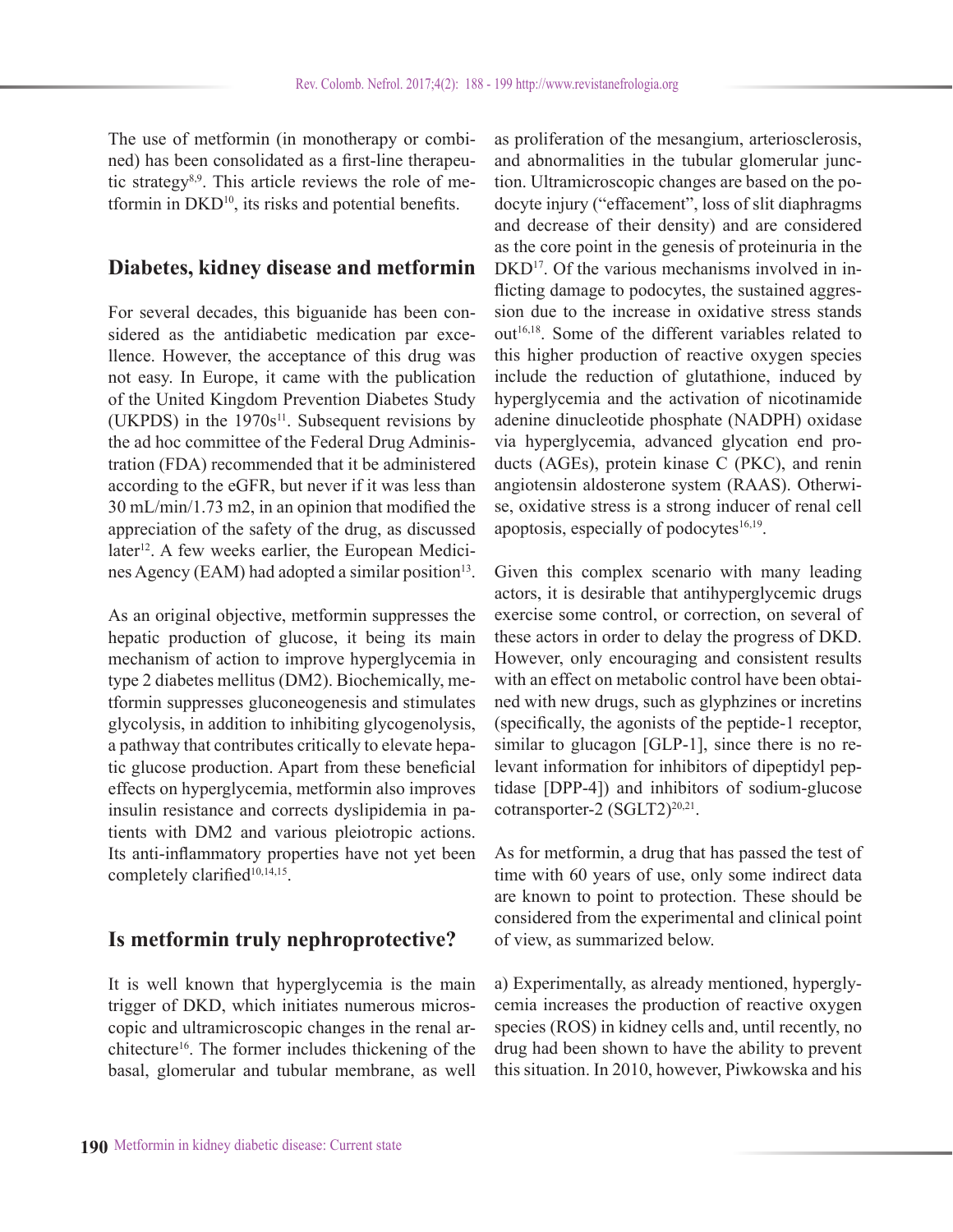The use of metformin (in monotherapy or combined) has been consolidated as a first-line therapeutic strategy<sup>8,9</sup>. This article reviews the role of metformin in DKD10, its risks and potential benefits.

## **Diabetes, kidney disease and metformin**

For several decades, this biguanide has been considered as the antidiabetic medication par excellence. However, the acceptance of this drug was not easy. In Europe, it came with the publication of the United Kingdom Prevention Diabetes Study (UKPDS) in the  $1970s^{11}$ . Subsequent revisions by the ad hoc committee of the Federal Drug Administration (FDA) recommended that it be administered according to the eGFR, but never if it was less than 30 mL/min/1.73 m2, in an opinion that modified the appreciation of the safety of the drug, as discussed later<sup>12</sup>. A few weeks earlier, the European Medicines Agency (EAM) had adopted a similar position<sup>13</sup>.

As an original objective, metformin suppresses the hepatic production of glucose, it being its main mechanism of action to improve hyperglycemia in type 2 diabetes mellitus (DM2). Biochemically, metformin suppresses gluconeogenesis and stimulates glycolysis, in addition to inhibiting glycogenolysis, a pathway that contributes critically to elevate hepatic glucose production. Apart from these beneficial effects on hyperglycemia, metformin also improves insulin resistance and corrects dyslipidemia in patients with DM2 and various pleiotropic actions. Its anti-inflammatory properties have not yet been completely clarified<sup>10,14,15</sup>.

### **Is metformin truly nephroprotective?**

It is well known that hyperglycemia is the main trigger of DKD, which initiates numerous microscopic and ultramicroscopic changes in the renal architecture16. The former includes thickening of the basal, glomerular and tubular membrane, as well

as proliferation of the mesangium, arteriosclerosis, and abnormalities in the tubular glomerular junction. Ultramicroscopic changes are based on the podocyte injury ("effacement", loss of slit diaphragms and decrease of their density) and are considered as the core point in the genesis of proteinuria in the DKD<sup>17</sup>. Of the various mechanisms involved in inflicting damage to podocytes, the sustained aggression due to the increase in oxidative stress stands out<sup>16,18</sup>. Some of the different variables related to this higher production of reactive oxygen species include the reduction of glutathione, induced by hyperglycemia and the activation of nicotinamide adenine dinucleotide phosphate (NADPH) oxidase via hyperglycemia, advanced glycation end products (AGEs), protein kinase C (PKC), and renin angiotensin aldosterone system (RAAS). Otherwise, oxidative stress is a strong inducer of renal cell apoptosis, especially of podocytes $16,19$ .

Given this complex scenario with many leading actors, it is desirable that antihyperglycemic drugs exercise some control, or correction, on several of these actors in order to delay the progress of DKD. However, only encouraging and consistent results with an effect on metabolic control have been obtained with new drugs, such as glyphzines or incretins (specifically, the agonists of the peptide-1 receptor, similar to glucagon [GLP-1], since there is no relevant information for inhibitors of dipeptidyl peptidase [DPP-4]) and inhibitors of sodium-glucose cotransporter-2  $(SGLT2)^{20,21}$ .

As for metformin, a drug that has passed the test of time with 60 years of use, only some indirect data are known to point to protection. These should be considered from the experimental and clinical point of view, as summarized below.

a) Experimentally, as already mentioned, hyperglycemia increases the production of reactive oxygen species (ROS) in kidney cells and, until recently, no drug had been shown to have the ability to prevent this situation. In 2010, however, Piwkowska and his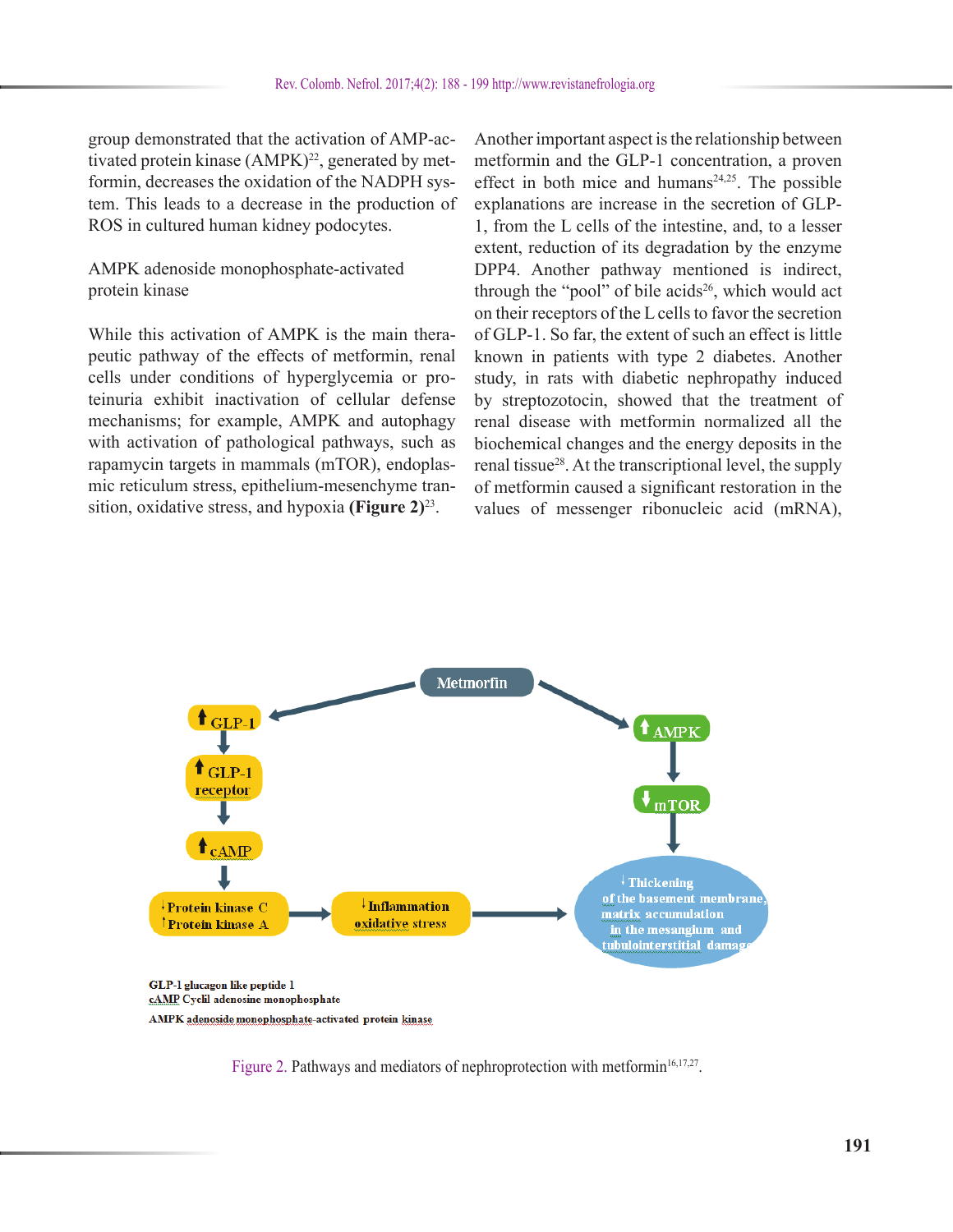group demonstrated that the activation of AMP-activated protein kinase (AMPK)<sup>22</sup>, generated by metformin, decreases the oxidation of the NADPH system. This leads to a decrease in the production of ROS in cultured human kidney podocytes.

### AMPK adenoside monophosphate-activated protein kinase

While this activation of AMPK is the main therapeutic pathway of the effects of metformin, renal cells under conditions of hyperglycemia or proteinuria exhibit inactivation of cellular defense mechanisms; for example, AMPK and autophagy with activation of pathological pathways, such as rapamycin targets in mammals (mTOR), endoplasmic reticulum stress, epithelium-mesenchyme transition, oxidative stress, and hypoxia **(Figure 2)**23.

Another important aspect is the relationship between metformin and the GLP-1 concentration, a proven effect in both mice and humans $24,25$ . The possible explanations are increase in the secretion of GLP-1, from the L cells of the intestine, and, to a lesser extent, reduction of its degradation by the enzyme DPP4. Another pathway mentioned is indirect, through the "pool" of bile acids<sup>26</sup>, which would act on their receptors of the L cells to favor the secretion of GLP-1. So far, the extent of such an effect is little known in patients with type 2 diabetes. Another study, in rats with diabetic nephropathy induced by streptozotocin, showed that the treatment of renal disease with metformin normalized all the biochemical changes and the energy deposits in the renal tissue<sup>28</sup>. At the transcriptional level, the supply of metformin caused a significant restoration in the values of messenger ribonucleic acid (mRNA),



Figure 2. Pathways and mediators of nephroprotection with metformin<sup>16,17,27</sup>.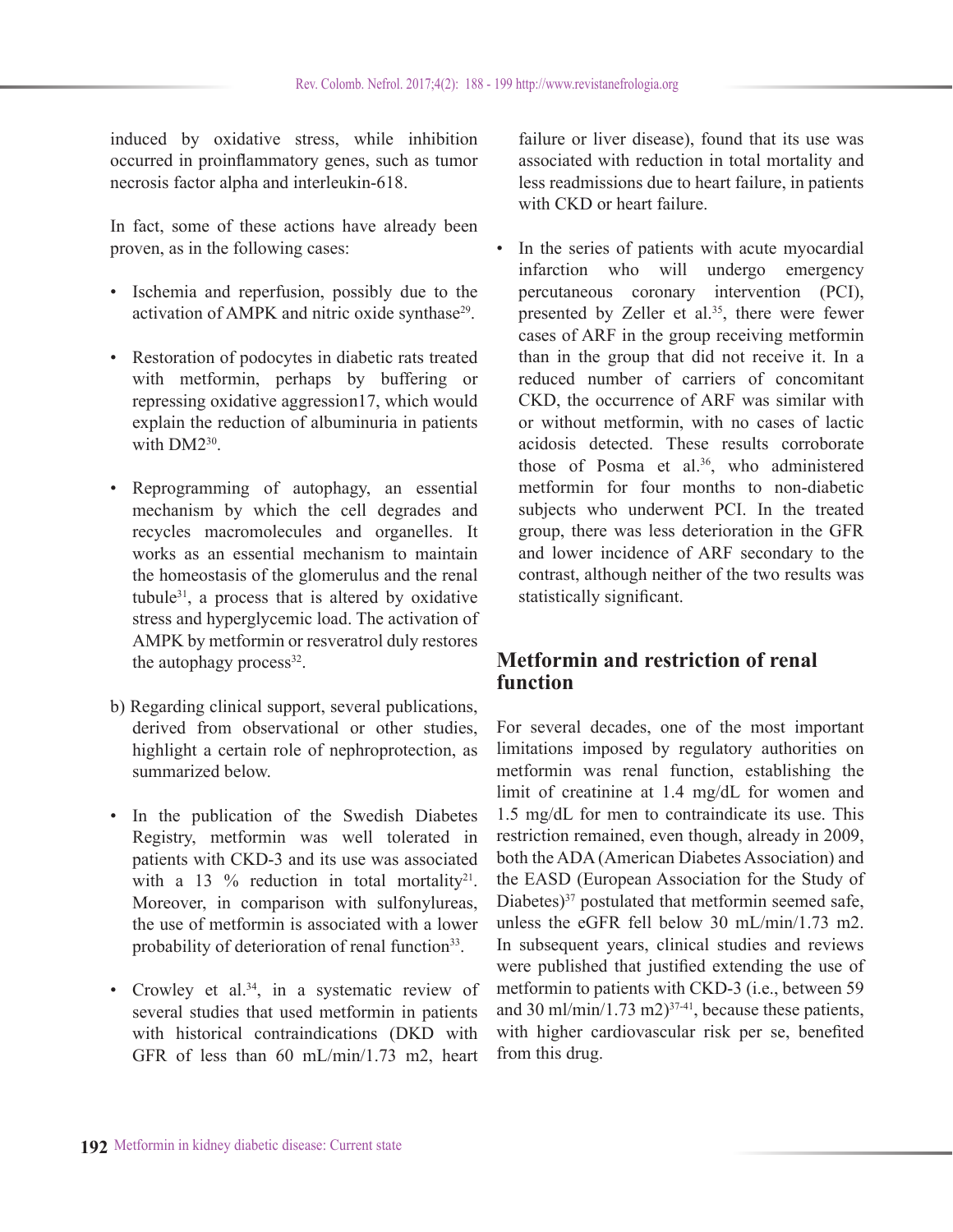induced by oxidative stress, while inhibition occurred in proinflammatory genes, such as tumor necrosis factor alpha and interleukin-618.

In fact, some of these actions have already been proven, as in the following cases:

- Ischemia and reperfusion, possibly due to the activation of AMPK and nitric oxide synthase<sup>29</sup>.
- Restoration of podocytes in diabetic rats treated with metformin, perhaps by buffering or repressing oxidative aggression17, which would explain the reduction of albuminuria in patients with DM2<sup>30</sup>
- Reprogramming of autophagy, an essential mechanism by which the cell degrades and recycles macromolecules and organelles. It works as an essential mechanism to maintain the homeostasis of the glomerulus and the renal tubule31, a process that is altered by oxidative stress and hyperglycemic load. The activation of AMPK by metformin or resveratrol duly restores the autophagy process $32$ .
- b) Regarding clinical support, several publications, derived from observational or other studies, highlight a certain role of nephroprotection, as summarized below.
- In the publication of the Swedish Diabetes Registry, metformin was well tolerated in patients with CKD-3 and its use was associated with a 13  $%$  reduction in total mortality<sup>21</sup>. Moreover, in comparison with sulfonylureas, the use of metformin is associated with a lower probability of deterioration of renal function<sup>33</sup>.
- Crowley et al.<sup>34</sup>, in a systematic review of several studies that used metformin in patients with historical contraindications (DKD with GFR of less than 60 mL/min/1.73 m2, heart

failure or liver disease), found that its use was associated with reduction in total mortality and less readmissions due to heart failure, in patients with CKD or heart failure.

In the series of patients with acute myocardial infarction who will undergo emergency percutaneous coronary intervention (PCI), presented by Zeller et al.<sup>35</sup>, there were fewer cases of ARF in the group receiving metformin than in the group that did not receive it. In a reduced number of carriers of concomitant CKD, the occurrence of ARF was similar with or without metformin, with no cases of lactic acidosis detected. These results corroborate those of Posma et al.<sup>36</sup>, who administered metformin for four months to non-diabetic subjects who underwent PCI. In the treated group, there was less deterioration in the GFR and lower incidence of ARF secondary to the contrast, although neither of the two results was statistically significant.

# **Metformin and restriction of renal function**

For several decades, one of the most important limitations imposed by regulatory authorities on metformin was renal function, establishing the limit of creatinine at 1.4 mg/dL for women and 1.5 mg/dL for men to contraindicate its use. This restriction remained, even though, already in 2009, both the ADA (American Diabetes Association) and the EASD (European Association for the Study of Diabetes) $37$  postulated that metformin seemed safe, unless the eGFR fell below 30 mL/min/1.73 m2. In subsequent years, clinical studies and reviews were published that justified extending the use of metformin to patients with CKD-3 (i.e., between 59 and 30 ml/min/1.73 m2) $37-41$ , because these patients, with higher cardiovascular risk per se, benefited from this drug.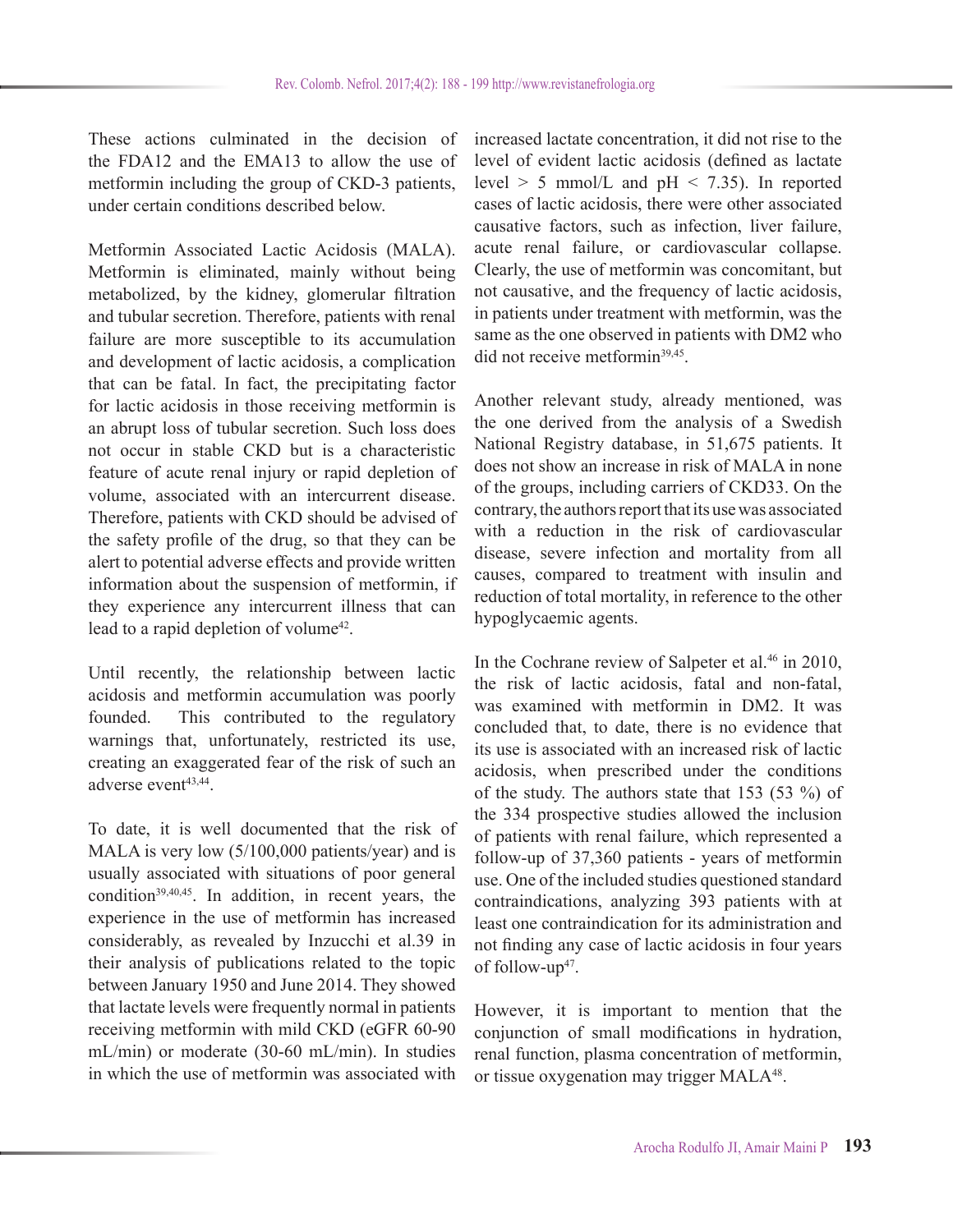These actions culminated in the decision of the FDA12 and the EMA13 to allow the use of metformin including the group of CKD-3 patients, under certain conditions described below.

Metformin Associated Lactic Acidosis (MALA). Metformin is eliminated, mainly without being metabolized, by the kidney, glomerular filtration and tubular secretion. Therefore, patients with renal failure are more susceptible to its accumulation and development of lactic acidosis, a complication that can be fatal. In fact, the precipitating factor for lactic acidosis in those receiving metformin is an abrupt loss of tubular secretion. Such loss does not occur in stable CKD but is a characteristic feature of acute renal injury or rapid depletion of volume, associated with an intercurrent disease. Therefore, patients with CKD should be advised of the safety profile of the drug, so that they can be alert to potential adverse effects and provide written information about the suspension of metformin, if they experience any intercurrent illness that can lead to a rapid depletion of volume<sup>42</sup>.

Until recently, the relationship between lactic acidosis and metformin accumulation was poorly founded. This contributed to the regulatory warnings that, unfortunately, restricted its use, creating an exaggerated fear of the risk of such an adverse event<sup>43,44</sup>.

To date, it is well documented that the risk of MALA is very low (5/100,000 patients/year) and is usually associated with situations of poor general condition $39,40,45$ . In addition, in recent years, the experience in the use of metformin has increased considerably, as revealed by Inzucchi et al.39 in their analysis of publications related to the topic between January 1950 and June 2014. They showed that lactate levels were frequently normal in patients receiving metformin with mild CKD (eGFR 60-90 mL/min) or moderate (30-60 mL/min). In studies in which the use of metformin was associated with increased lactate concentration, it did not rise to the level of evident lactic acidosis (defined as lactate level  $> 5$  mmol/L and pH  $< 7.35$ ). In reported cases of lactic acidosis, there were other associated causative factors, such as infection, liver failure, acute renal failure, or cardiovascular collapse. Clearly, the use of metformin was concomitant, but not causative, and the frequency of lactic acidosis, in patients under treatment with metformin, was the same as the one observed in patients with DM2 who did not receive metformin<sup>39,45</sup>.

Another relevant study, already mentioned, was the one derived from the analysis of a Swedish National Registry database, in 51,675 patients. It does not show an increase in risk of MALA in none of the groups, including carriers of CKD33. On the contrary, the authors report that its use was associated with a reduction in the risk of cardiovascular disease, severe infection and mortality from all causes, compared to treatment with insulin and reduction of total mortality, in reference to the other hypoglycaemic agents.

In the Cochrane review of Salpeter et al.<sup>46</sup> in 2010, the risk of lactic acidosis, fatal and non-fatal, was examined with metformin in DM2. It was concluded that, to date, there is no evidence that its use is associated with an increased risk of lactic acidosis, when prescribed under the conditions of the study. The authors state that 153 (53 %) of the 334 prospective studies allowed the inclusion of patients with renal failure, which represented a follow-up of 37,360 patients - years of metformin use. One of the included studies questioned standard contraindications, analyzing 393 patients with at least one contraindication for its administration and not finding any case of lactic acidosis in four years of follow-up<sup>47</sup>.

However, it is important to mention that the conjunction of small modifications in hydration, renal function, plasma concentration of metformin, or tissue oxygenation may trigger MALA48.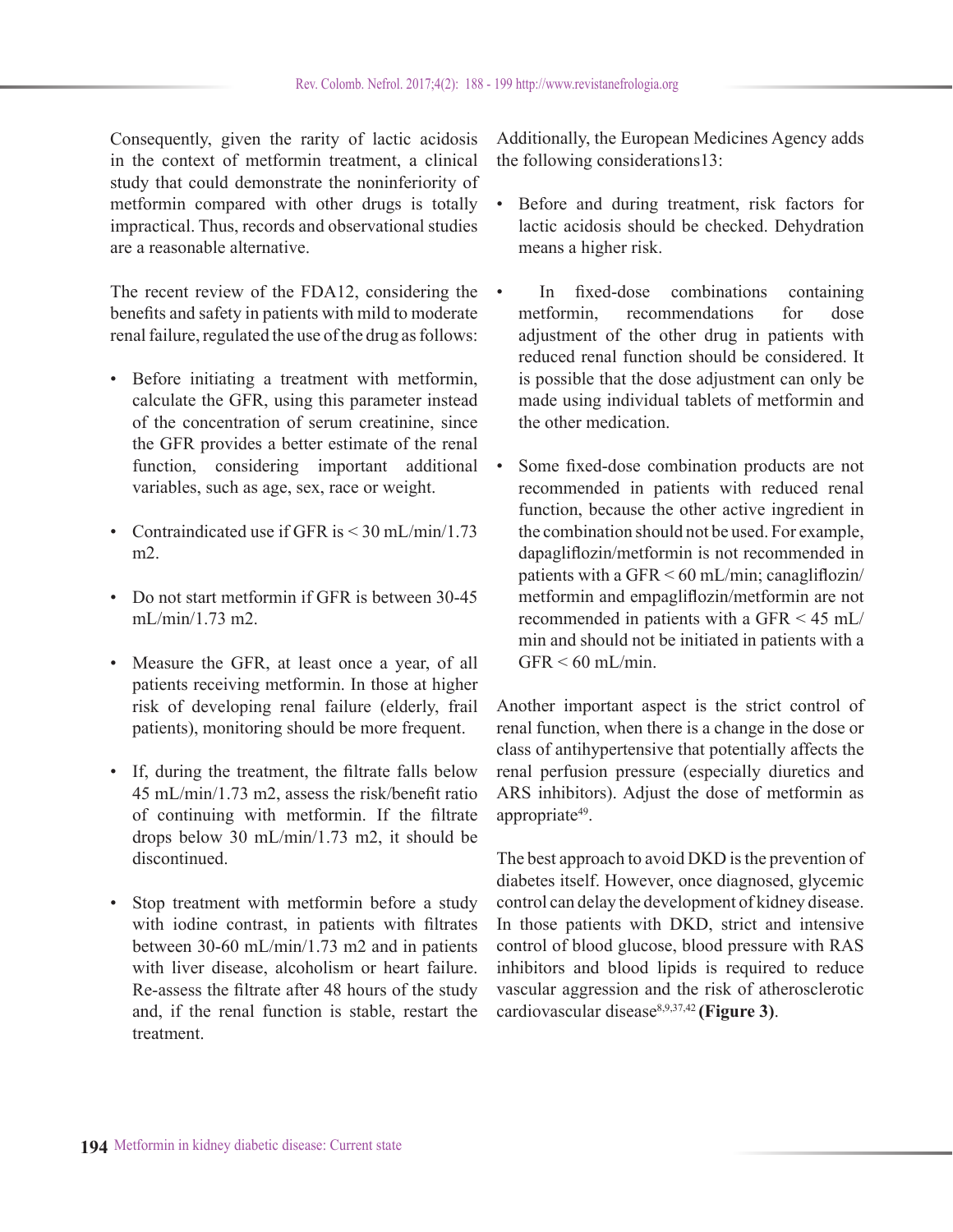Consequently, given the rarity of lactic acidosis in the context of metformin treatment, a clinical study that could demonstrate the noninferiority of metformin compared with other drugs is totally impractical. Thus, records and observational studies are a reasonable alternative.

The recent review of the FDA12, considering the benefits and safety in patients with mild to moderate renal failure, regulated the use of the drug as follows:

- Before initiating a treatment with metformin, calculate the GFR, using this parameter instead of the concentration of serum creatinine, since the GFR provides a better estimate of the renal function, considering important additional variables, such as age, sex, race or weight.
- Contraindicated use if GFR is < 30 mL/min/1.73 m2.
- Do not start metformin if GFR is between 30-45 mL/min/1.73 m2.
- Measure the GFR, at least once a year, of all patients receiving metformin. In those at higher risk of developing renal failure (elderly, frail patients), monitoring should be more frequent.
- If, during the treatment, the filtrate falls below 45 mL/min/1.73 m2, assess the risk/benefit ratio of continuing with metformin. If the filtrate drops below 30 mL/min/1.73 m2, it should be discontinued.
- Stop treatment with metformin before a study with iodine contrast, in patients with filtrates between 30-60 mL/min/1.73 m2 and in patients with liver disease, alcoholism or heart failure. Re-assess the filtrate after 48 hours of the study and, if the renal function is stable, restart the treatment.

Additionally, the European Medicines Agency adds the following considerations13:

- Before and during treatment, risk factors for lactic acidosis should be checked. Dehydration means a higher risk.
- In fixed-dose combinations containing metformin, recommendations for dose adjustment of the other drug in patients with reduced renal function should be considered. It is possible that the dose adjustment can only be made using individual tablets of metformin and the other medication.
- Some fixed-dose combination products are not recommended in patients with reduced renal function, because the other active ingredient in the combination should not be used. For example, dapagliflozin/metformin is not recommended in patients with a GFR  $\leq 60$  mL/min; canagliflozin/ metformin and empagliflozin/metformin are not recommended in patients with a GFR < 45 mL/ min and should not be initiated in patients with a  $GFR < 60$  mL/min.

Another important aspect is the strict control of renal function, when there is a change in the dose or class of antihypertensive that potentially affects the renal perfusion pressure (especially diuretics and ARS inhibitors). Adjust the dose of metformin as appropriate<sup>49</sup>.

The best approach to avoid DKD is the prevention of diabetes itself. However, once diagnosed, glycemic control can delay the development of kidney disease. In those patients with DKD, strict and intensive control of blood glucose, blood pressure with RAS inhibitors and blood lipids is required to reduce vascular aggression and the risk of atherosclerotic cardiovascular disease8,9,37,42 **(Figure 3)**.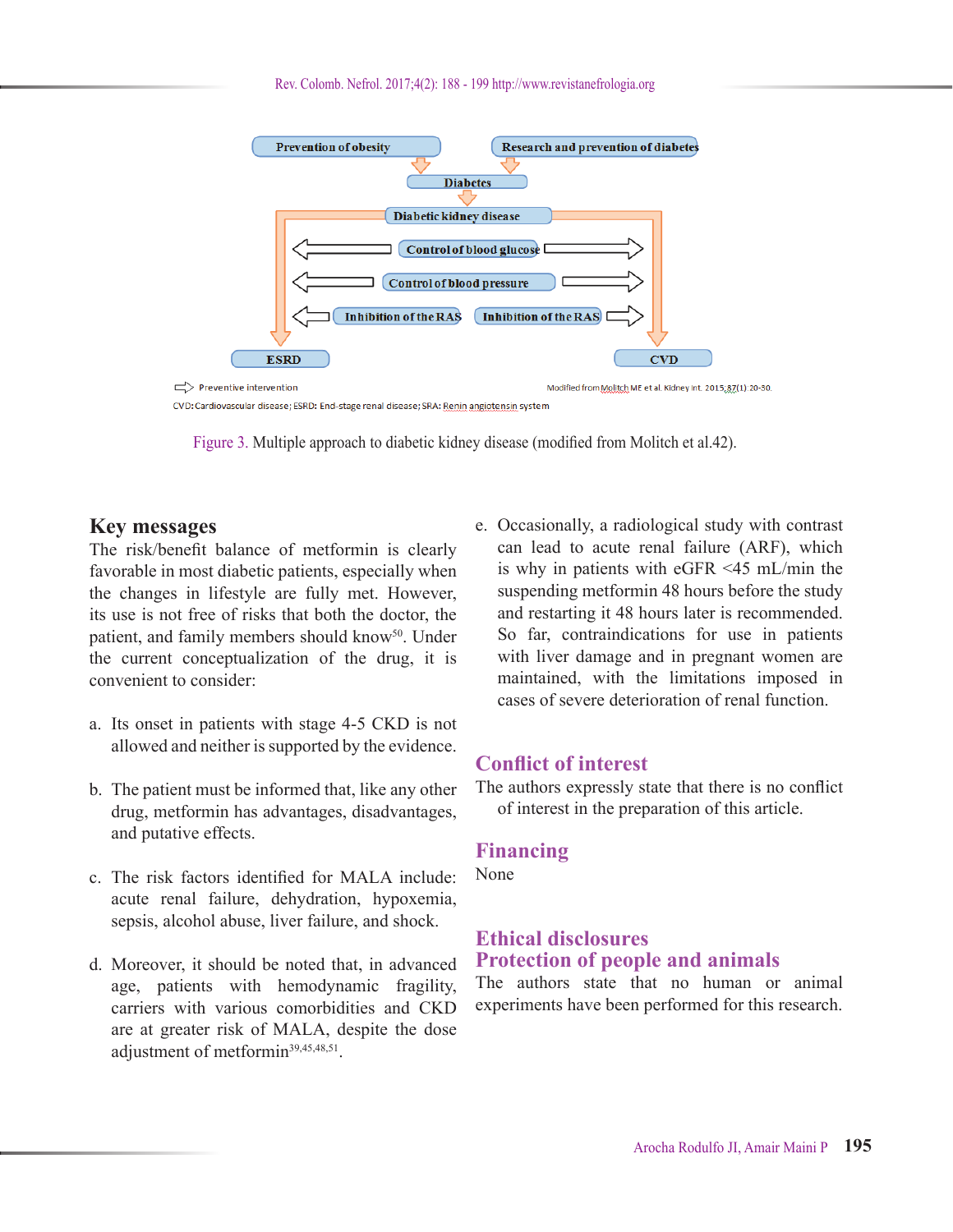

CVD: Cardiovascular disease; ESRD: End-stage renal disease; SRA: Renin angiotensin system



### **Key messages**

The risk/benefit balance of metformin is clearly favorable in most diabetic patients, especially when the changes in lifestyle are fully met. However, its use is not free of risks that both the doctor, the patient, and family members should know<sup>50</sup>. Under the current conceptualization of the drug, it is convenient to consider:

- a. Its onset in patients with stage 4-5 CKD is not allowed and neither is supported by the evidence.
- b. The patient must be informed that, like any other drug, metformin has advantages, disadvantages, and putative effects.
- c. The risk factors identified for MALA include: acute renal failure, dehydration, hypoxemia, sepsis, alcohol abuse, liver failure, and shock.
- d. Moreover, it should be noted that, in advanced age, patients with hemodynamic fragility, carriers with various comorbidities and CKD are at greater risk of MALA, despite the dose adjustment of metformin<sup>39,45,48,51</sup>.

e. Occasionally, a radiological study with contrast can lead to acute renal failure (ARF), which is why in patients with eGFR <45 mL/min the suspending metformin 48 hours before the study and restarting it 48 hours later is recommended. So far, contraindications for use in patients with liver damage and in pregnant women are maintained, with the limitations imposed in cases of severe deterioration of renal function.

# **Conflict of interest**

The authors expressly state that there is no conflict of interest in the preparation of this article.

## **Financing**

None

# **Ethical disclosures Protection of people and animals**

The authors state that no human or animal experiments have been performed for this research.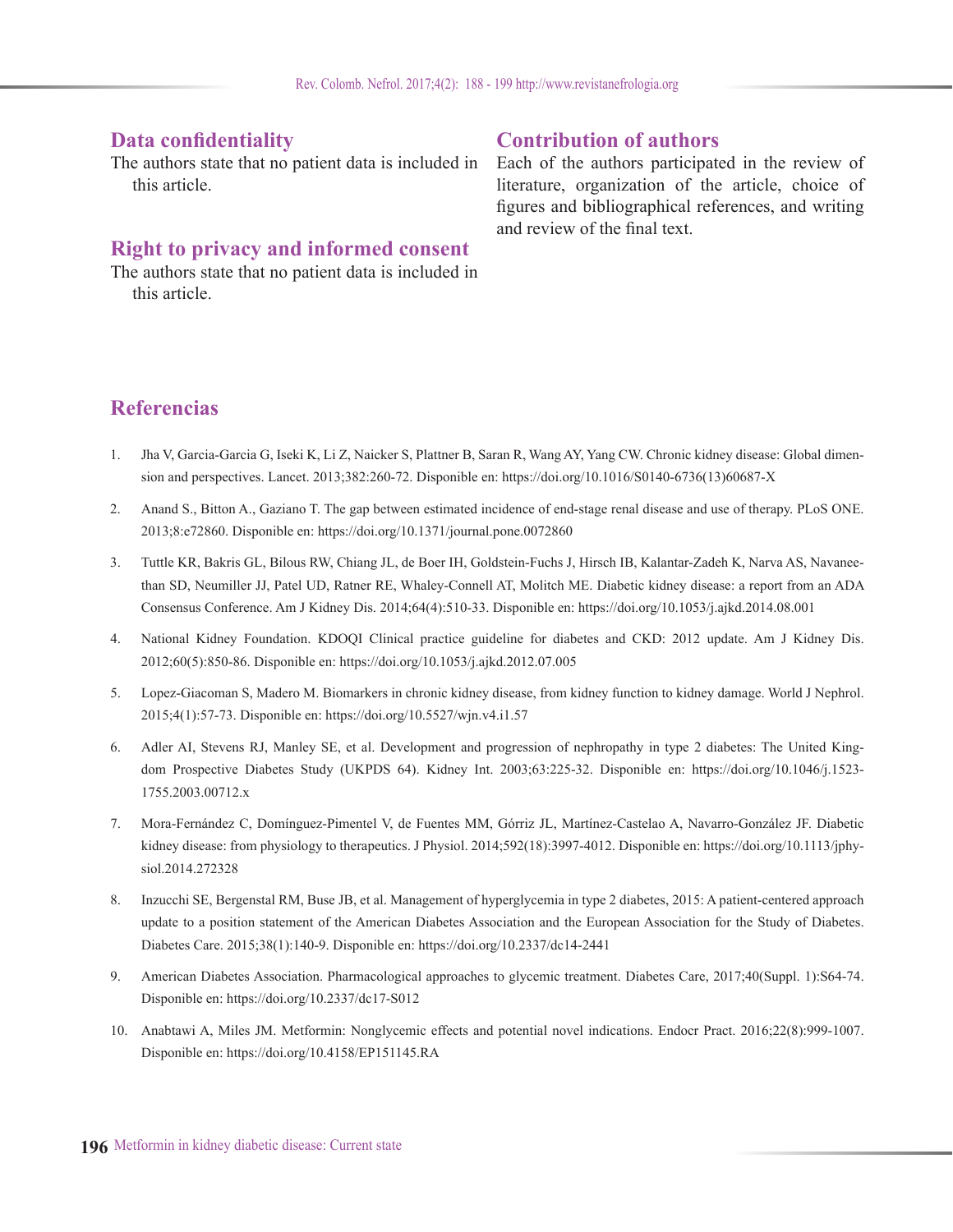# **Data confidentiality**

The authors state that no patient data is included in this article.

# **Right to privacy and informed consent**

The authors state that no patient data is included in this article.

# **Contribution of authors**

Each of the authors participated in the review of literature, organization of the article, choice of figures and bibliographical references, and writing and review of the final text.

# **Referencias**

- 1. Jha V, Garcia-Garcia G, Iseki K, Li Z, Naicker S, Plattner B, Saran R, Wang AY, Yang CW. Chronic kidney disease: Global dimension and perspectives. Lancet. 2013;382:260-72. Disponible en: https://doi.org/10.1016/S0140-6736(13)60687-X
- 2. Anand S., Bitton A., Gaziano T. The gap between estimated incidence of end-stage renal disease and use of therapy. PLoS ONE. 2013;8:e72860. Disponible en: https://doi.org/10.1371/journal.pone.0072860
- 3. Tuttle KR, Bakris GL, Bilous RW, Chiang JL, de Boer IH, Goldstein-Fuchs J, Hirsch IB, Kalantar-Zadeh K, Narva AS, Navaneethan SD, Neumiller JJ, Patel UD, Ratner RE, Whaley-Connell AT, Molitch ME. Diabetic kidney disease: a report from an ADA Consensus Conference. Am J Kidney Dis. 2014;64(4):510-33. Disponible en: https://doi.org/10.1053/j.ajkd.2014.08.001
- 4. National Kidney Foundation. KDOQI Clinical practice guideline for diabetes and CKD: 2012 update. Am J Kidney Dis. 2012;60(5):850-86. Disponible en: https://doi.org/10.1053/j.ajkd.2012.07.005
- 5. Lopez-Giacoman S, Madero M. Biomarkers in chronic kidney disease, from kidney function to kidney damage. World J Nephrol. 2015;4(1):57-73. Disponible en: https://doi.org/10.5527/wjn.v4.i1.57
- 6. Adler AI, Stevens RJ, Manley SE, et al. Development and progression of nephropathy in type 2 diabetes: The United Kingdom Prospective Diabetes Study (UKPDS 64). Kidney Int. 2003;63:225-32. Disponible en: https://doi.org/10.1046/j.1523- 1755.2003.00712.x
- 7. Mora-Fernández C, Domínguez-Pimentel V, de Fuentes MM, Górriz JL, Martínez-Castelao A, Navarro-González JF. Diabetic kidney disease: from physiology to therapeutics. J Physiol. 2014;592(18):3997-4012. Disponible en: https://doi.org/10.1113/jphysiol.2014.272328
- 8. Inzucchi SE, Bergenstal RM, Buse JB, et al. Management of hyperglycemia in type 2 diabetes, 2015: A patient-centered approach update to a position statement of the American Diabetes Association and the European Association for the Study of Diabetes. Diabetes Care. 2015;38(1):140-9. Disponible en: https://doi.org/10.2337/dc14-2441
- 9. American Diabetes Association. Pharmacological approaches to glycemic treatment. Diabetes Care, 2017;40(Suppl. 1):S64-74. Disponible en: https://doi.org/10.2337/dc17-S012
- 10. Anabtawi A, Miles JM. Metformin: Nonglycemic effects and potential novel indications. Endocr Pract. 2016;22(8):999-1007. Disponible en: https://doi.org/10.4158/EP151145.RA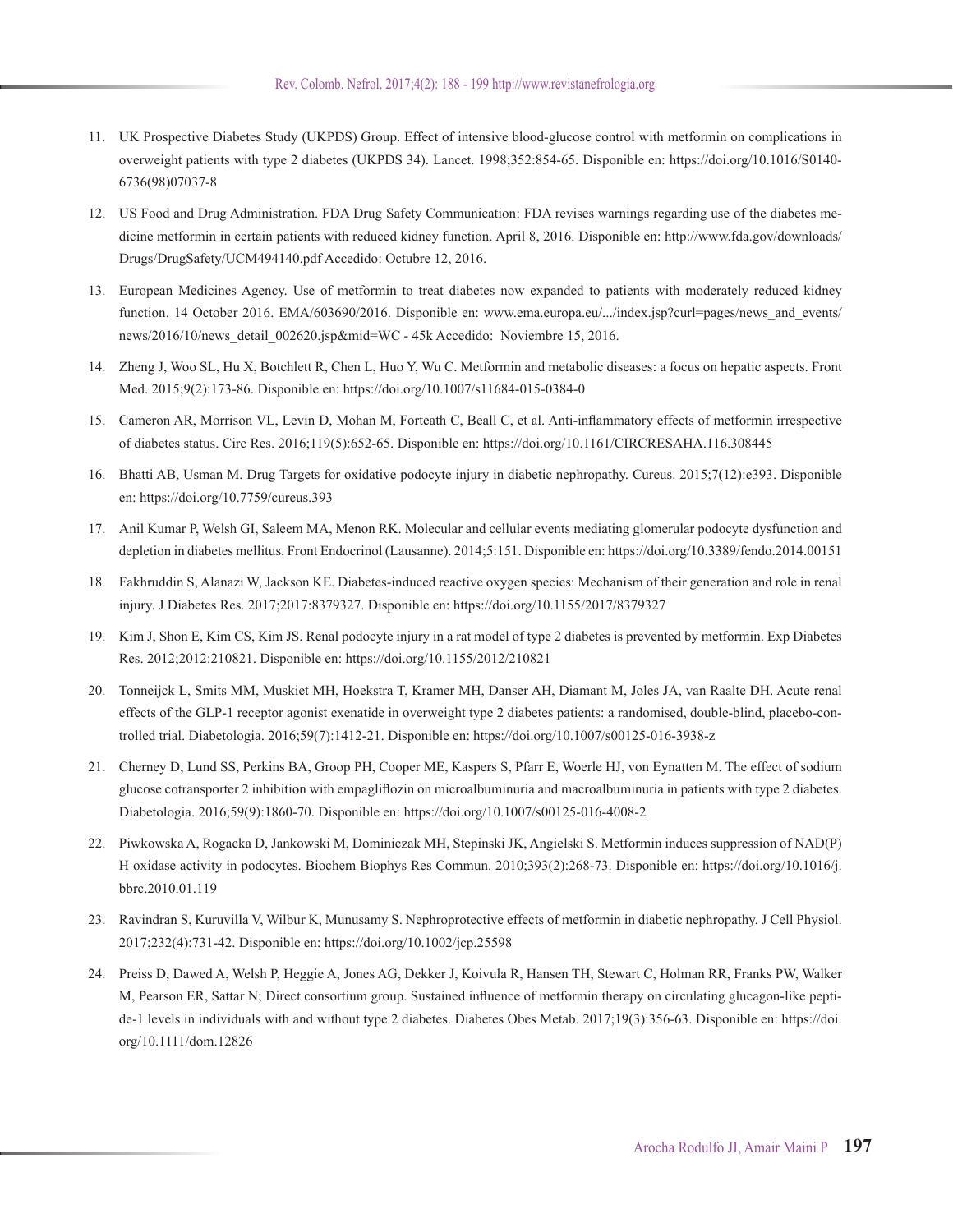- 11. UK Prospective Diabetes Study (UKPDS) Group. Effect of intensive blood-glucose control with metformin on complications in overweight patients with type 2 diabetes (UKPDS 34). Lancet. 1998;352:854-65. Disponible en: https://doi.org/10.1016/S0140- 6736(98)07037-8
- 12. US Food and Drug Administration. FDA Drug Safety Communication: FDA revises warnings regarding use of the diabetes medicine metformin in certain patients with reduced kidney function. April 8, 2016. Disponible en: http://www.fda.gov/downloads/ Drugs/DrugSafety/UCM494140.pdf Accedido: Octubre 12, 2016.
- 13. European Medicines Agency. Use of metformin to treat diabetes now expanded to patients with moderately reduced kidney function. 14 October 2016. EMA/603690/2016. Disponible en: www.ema.europa.eu/.../index.jsp?curl=pages/news and events/ news/2016/10/news\_detail\_002620.jsp&mid=WC - 45k Accedido: Noviembre 15, 2016.
- 14. Zheng J, Woo SL, Hu X, Botchlett R, Chen L, Huo Y, Wu C. Metformin and metabolic diseases: a focus on hepatic aspects. Front Med. 2015;9(2):173-86. Disponible en: https://doi.org/10.1007/s11684-015-0384-0
- 15. Cameron AR, Morrison VL, Levin D, Mohan M, Forteath C, Beall C, et al. Anti-inflammatory effects of metformin irrespective of diabetes status. Circ Res. 2016;119(5):652-65. Disponible en: https://doi.org/10.1161/CIRCRESAHA.116.308445
- 16. Bhatti AB, Usman M. Drug Targets for oxidative podocyte injury in diabetic nephropathy. Cureus. 2015;7(12):e393. Disponible en: https://doi.org/10.7759/cureus.393
- 17. Anil Kumar P, Welsh GI, Saleem MA, Menon RK. Molecular and cellular events mediating glomerular podocyte dysfunction and depletion in diabetes mellitus. Front Endocrinol (Lausanne). 2014;5:151. Disponible en: https://doi.org/10.3389/fendo.2014.00151
- 18. Fakhruddin S, Alanazi W, Jackson KE. Diabetes-induced reactive oxygen species: Mechanism of their generation and role in renal injury. J Diabetes Res. 2017;2017:8379327. Disponible en: https://doi.org/10.1155/2017/8379327
- 19. Kim J, Shon E, Kim CS, Kim JS. Renal podocyte injury in a rat model of type 2 diabetes is prevented by metformin. Exp Diabetes Res. 2012;2012:210821. Disponible en: https://doi.org/10.1155/2012/210821
- 20. Tonneijck L, Smits MM, Muskiet MH, Hoekstra T, Kramer MH, Danser AH, Diamant M, Joles JA, van Raalte DH. Acute renal effects of the GLP-1 receptor agonist exenatide in overweight type 2 diabetes patients: a randomised, double-blind, placebo-controlled trial. Diabetologia. 2016;59(7):1412-21. Disponible en: https://doi.org/10.1007/s00125-016-3938-z
- 21. Cherney D, Lund SS, Perkins BA, Groop PH, Cooper ME, Kaspers S, Pfarr E, Woerle HJ, von Eynatten M. The effect of sodium glucose cotransporter 2 inhibition with empagliflozin on microalbuminuria and macroalbuminuria in patients with type 2 diabetes. Diabetologia. 2016;59(9):1860-70. Disponible en: https://doi.org/10.1007/s00125-016-4008-2
- 22. Piwkowska A, Rogacka D, Jankowski M, Dominiczak MH, Stepinski JK, Angielski S. Metformin induces suppression of NAD(P) H oxidase activity in podocytes. Biochem Biophys Res Commun. 2010;393(2):268-73. Disponible en: https://doi.org/10.1016/j. bbrc.2010.01.119
- 23. Ravindran S, Kuruvilla V, Wilbur K, Munusamy S. Nephroprotective effects of metformin in diabetic nephropathy. J Cell Physiol. 2017;232(4):731-42. Disponible en: https://doi.org/10.1002/jcp.25598
- 24. Preiss D, Dawed A, Welsh P, Heggie A, Jones AG, Dekker J, Koivula R, Hansen TH, Stewart C, Holman RR, Franks PW, Walker M, Pearson ER, Sattar N; Direct consortium group. Sustained influence of metformin therapy on circulating glucagon-like peptide-1 levels in individuals with and without type 2 diabetes. Diabetes Obes Metab. 2017;19(3):356-63. Disponible en: https://doi. org/10.1111/dom.12826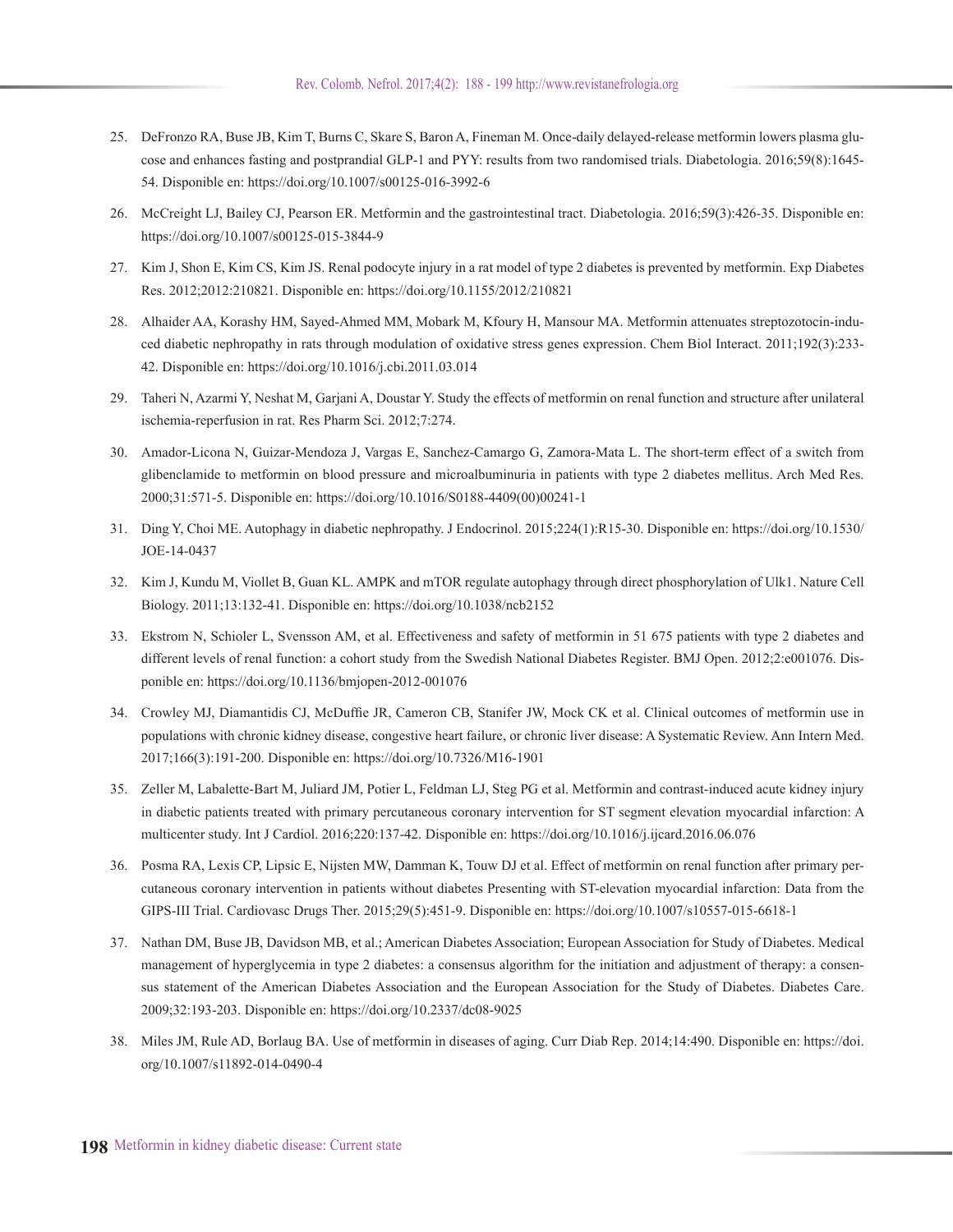- 25. DeFronzo RA, Buse JB, Kim T, Burns C, Skare S, Baron A, Fineman M. Once-daily delayed-release metformin lowers plasma glucose and enhances fasting and postprandial GLP-1 and PYY: results from two randomised trials. Diabetologia. 2016;59(8):1645- 54. Disponible en: https://doi.org/10.1007/s00125-016-3992-6
- 26. McCreight LJ, Bailey CJ, Pearson ER. Metformin and the gastrointestinal tract. Diabetologia. 2016;59(3):426-35. Disponible en: https://doi.org/10.1007/s00125-015-3844-9
- 27. Kim J, Shon E, Kim CS, Kim JS. Renal podocyte injury in a rat model of type 2 diabetes is prevented by metformin. Exp Diabetes Res. 2012;2012:210821. Disponible en: https://doi.org/10.1155/2012/210821
- 28. Alhaider AA, Korashy HM, Sayed-Ahmed MM, Mobark M, Kfoury H, Mansour MA. Metformin attenuates streptozotocin-induced diabetic nephropathy in rats through modulation of oxidative stress genes expression. Chem Biol Interact. 2011;192(3):233- 42. Disponible en: https://doi.org/10.1016/j.cbi.2011.03.014
- 29. Taheri N, Azarmi Y, Neshat M, Garjani A, Doustar Y. Study the effects of metformin on renal function and structure after unilateral ischemia-reperfusion in rat. Res Pharm Sci. 2012;7:274.
- 30. Amador-Licona N, Guizar-Mendoza J, Vargas E, Sanchez-Camargo G, Zamora-Mata L. The short-term effect of a switch from glibenclamide to metformin on blood pressure and microalbuminuria in patients with type 2 diabetes mellitus. Arch Med Res. 2000;31:571-5. Disponible en: https://doi.org/10.1016/S0188-4409(00)00241-1
- 31. Ding Y, Choi ME. Autophagy in diabetic nephropathy. J Endocrinol. 2015;224(1):R15-30. Disponible en: https://doi.org/10.1530/ JOE-14-0437
- 32. Kim J, Kundu M, Viollet B, Guan KL. AMPK and mTOR regulate autophagy through direct phosphorylation of Ulk1. Nature Cell Biology. 2011;13:132-41. Disponible en: https://doi.org/10.1038/ncb2152
- 33. Ekstrom N, Schioler L, Svensson AM, et al. Effectiveness and safety of metformin in 51 675 patients with type 2 diabetes and different levels of renal function: a cohort study from the Swedish National Diabetes Register. BMJ Open. 2012;2:e001076. Disponible en: https://doi.org/10.1136/bmjopen-2012-001076
- 34. Crowley MJ, Diamantidis CJ, McDuffie JR, Cameron CB, Stanifer JW, Mock CK et al. Clinical outcomes of metformin use in populations with chronic kidney disease, congestive heart failure, or chronic liver disease: A Systematic Review. Ann Intern Med. 2017;166(3):191-200. Disponible en: https://doi.org/10.7326/M16-1901
- 35. Zeller M, Labalette-Bart M, Juliard JM, Potier L, Feldman LJ, Steg PG et al. Metformin and contrast-induced acute kidney injury in diabetic patients treated with primary percutaneous coronary intervention for ST segment elevation myocardial infarction: A multicenter study. Int J Cardiol. 2016;220:137-42. Disponible en: https://doi.org/10.1016/j.ijcard.2016.06.076
- 36. Posma RA, Lexis CP, Lipsic E, Nijsten MW, Damman K, Touw DJ et al. Effect of metformin on renal function after primary percutaneous coronary intervention in patients without diabetes Presenting with ST-elevation myocardial infarction: Data from the GIPS-III Trial. Cardiovasc Drugs Ther. 2015;29(5):451-9. Disponible en: https://doi.org/10.1007/s10557-015-6618-1
- 37. Nathan DM, Buse JB, Davidson MB, et al.; American Diabetes Association; European Association for Study of Diabetes. Medical management of hyperglycemia in type 2 diabetes: a consensus algorithm for the initiation and adjustment of therapy: a consensus statement of the American Diabetes Association and the European Association for the Study of Diabetes. Diabetes Care. 2009;32:193-203. Disponible en: https://doi.org/10.2337/dc08-9025
- 38. Miles JM, Rule AD, Borlaug BA. Use of metformin in diseases of aging. Curr Diab Rep. 2014;14:490. Disponible en: https://doi. org/10.1007/s11892-014-0490-4